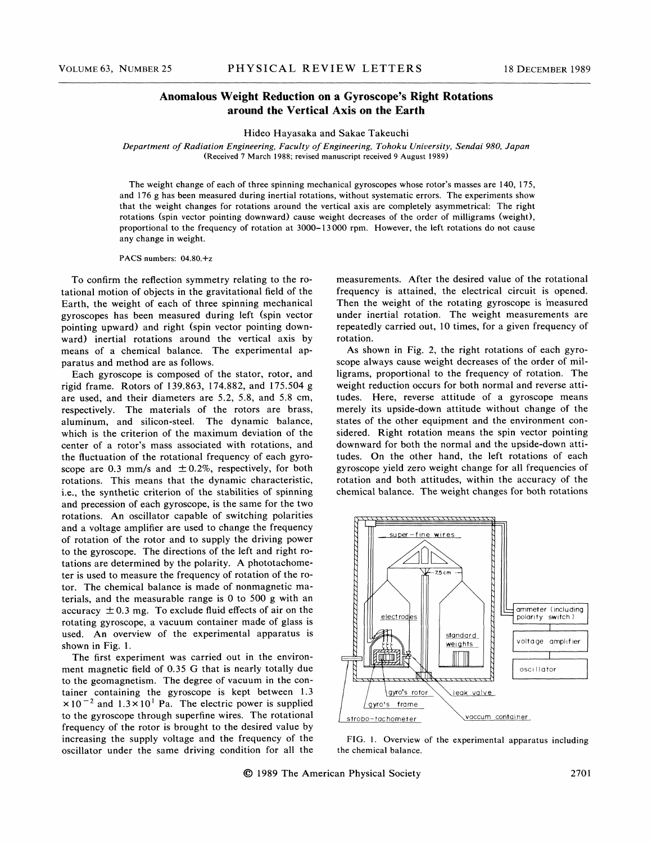## **Anomalous Weight Reduction on a Gyroscope's Right Rotations around the Vertical Axis on the Earth**

Hideo Hayasaka and Sakae Takeuchi

*Department of Radiation Engineering, Faculty of Engineering, Tohoku University, Sendai 980, Japan*  (Received 7 March 1988; revised manuscript received 9 August 1989)

The weight change of each of three spinning mechanical gyroscopes whose rotor's masses are 140, 175, and 176 g has been measured during inertial rotations, without systematic errors. The experiments show that the weight changes for rotations around the vertical axis are completely asymmetrical: The right rotations (spin vector pointing downward) cause weight decreases of the order of milligrams (weight), proportional to the frequency of rotation at 3000-13 000 rpm. However, the left rotations do not cause any change in weight.

PACS numbers: 04.80.+z

To confirm the reflection symmetry relating to the rotational motion of objects in the gravitational field of the Earth, the weight of each of three spinning mechanical gyroscopes has been measured during left (spin vector pointing upward) and right (spin vector pointing downward) inertial rotations around the vertical axis by means of a chemical balance. The experimental apparatus and method are as follows.

Each gyroscope is composed of the stator, rotor, and rigid frame. Rotors of 139.863, 174.882, and 175.504 g are used, and their diameters are 5.2, 5.8, and 5.8 cm, respectively. The materials of the rotors are brass, aluminum, and silicon-steel. The dynamic balance, which is the criterion of the maximum deviation of the center of a rotor's mass associated with rotations, and the fluctuation of the rotational frequency of each gyroscope are 0.3 mm/s and  $\pm$  0.2%, respectively, for both rotations. This means that the dynamic characteristic, i.e., the synthetic criterion of the stabilities of spinning and precession of each gyroscope, is the same for the two rotations. An oscillator capable of switching polarities and a voltage amplifier are used to change the frequency of rotation of the rotor and to supply the driving power to the gyroscope. The directions of the left and right rotations are determined by the polarity. A phototachometer is used to measure the frequency of rotation of the rotor. The chemical balance is made of nonmagnetic materials, and the measurable range is 0 to 500 g with an accuracy  $\pm 0.3$  mg. To exclude fluid effects of air on the rotating gyroscope, a vacuum container made of glass is used. An overview of the experimental apparatus is shown in Fig. 1.

The first experiment was carried out in the environment magnetic field of 0.35 G that is nearly totally due to the geomagnetism. The degree of vacuum in the container containing the gyroscope is kept between 1.3  $\times$ 10<sup>-2</sup> and 1.3 $\times$ 10<sup>1</sup> Pa. The electric power is supplied to the gyroscope through superfine wires. The rotational frequency of the rotor is brought to the desired value by increasing the supply voltage and the frequency of the oscillator under the same driving condition for all the measurements. After the desired value of the rotational frequency is attained, the electrical circuit is opened. Then the weight of the rotating gyroscope is measured under inertial rotation. The weight measurements are repeatedly carried out, 10 times, for a given frequency of rotation.

As shown in Fig. 2, the right rotations of each gyroscope always cause weight decreases of the order of milligrams, proportional to the frequency of rotation. The weight reduction occurs for both normal and reverse attitudes. Here, reverse attitude of a gyroscope means merely its upside-down attitude without change of the states of the other equipment and the environment considered. Right rotation means the spin vector pointing downward for both the normal and the upside-down attitudes. On the other hand, the left rotations of each gyroscope yield zero weight change for all frequencies of rotation and both attitudes, within the accuracy of the chemical balance. The weight changes for both rotations



FIG. 1. Overview of the experimental apparatus including the chemical balance.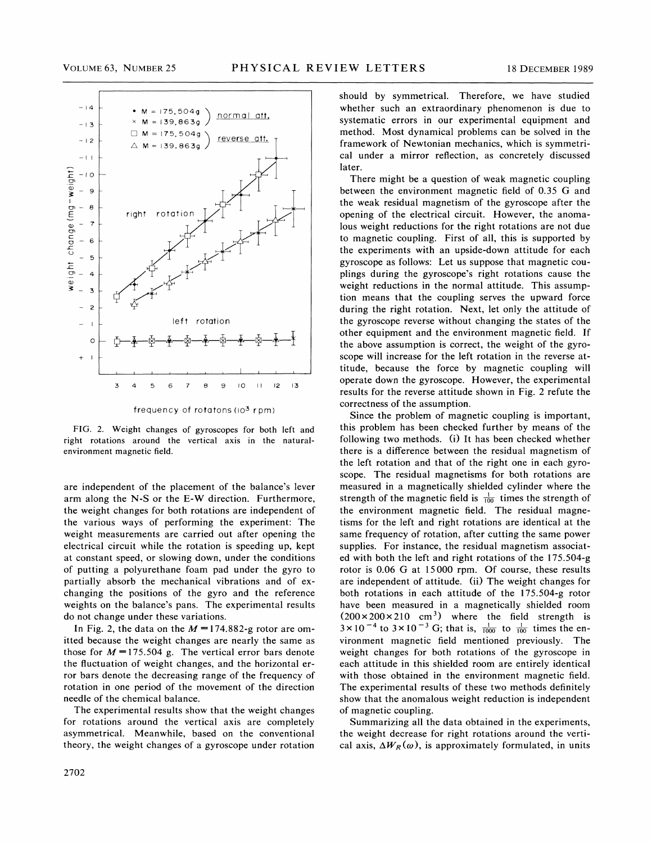



FIG. 2. Weight changes of gyroscopes for both left and right rotations around the vertical axis in the naturalenvironment magnetic field.

are independent of the placement of the balance's lever arm along the N-S or the E-W direction. Furthermore, the weight changes for both rotations are independent of the various ways of performing the experiment: The weight measurements are carried out after opening the electrical circuit while the rotation is speeding up, kept at constant speed, or slowing down, under the conditions of putting a polyurethane foam pad under the gyro to partially absorb the mechanical vibrations and of exchanging the positions of the gyro and the reference weights on the balance's pans. The experimental results do not change under these variations.

In Fig. 2, the data on the  $M = 174.882$ -g rotor are omitted because the weight changes are nearly the same as those for  $M = 175.504$  g. The vertical error bars denote the fluctuation of weight changes, and the horizontal error bars denote the decreasing range of the frequency of rotation in one period of the movement of the direction needle of the chemical balance.

The experimental results show that the weight changes for rotations around the vertical axis are completely asymmetrical. Meanwhile, based on the conventional theory, the weight changes of a gyroscope under rotation should by symmetrical. Therefore, we have studied whether such an extraordinary phenomenon is due to systematic errors in our experimental equipment and method. Most dynamical problems can be solved in the framework of Newtonian mechanics, which is symmetrical under a mirror reflection, as concretely discussed later.

There might be a question of weak magnetic coupling between the environment magnetic field of 0.35 G and the weak residual magnetism of the gyroscope after the opening of the electrical circuit. However, the anomalous weight reductions for the right rotations are not due to magnetic coupling. First of all, this is supported by the experiments with an upside-down attitude for each gyroscope as follows: Let us suppose that magnetic couplings during the gyroscope's right rotations cause the weight reductions in the normal attitude. This assumption means that the coupling serves the upward force during the right rotation. Next, let only the attitude of the gyroscope reverse without changing the states of the other equipment and the environment magnetic field. If the above assumption is correct, the weight of the gyroscope will increase for the left rotation in the reverse attitude, because the force by magnetic coupling will operate down the gyroscope. However, the experimental results for the reverse attitude shown in Fig. 2 refute the correctness of the assumption.

Since the problem of magnetic coupling is important, this problem has been checked further by means of the following two methods, (i) It has been checked whether there is a difference between the residual magnetism of the left rotation and that of the right one in each gyroscope. The residual magnetisms for both rotations are measured in a magnetically shielded cylinder where the strength of the magnetic field is  $\frac{1}{100}$  times the strength of the environment magnetic field. The residual magnetisms for the left and right rotations are identical at the same frequency of rotation, after cutting the same power supplies. For instance, the residual magnetism associated with both the left and right rotations of the 175.504-g rotor is 0.06 G at 15 000 rpm. Of course, these results are independent of attitude, (ii) The weight changes for both rotations in each attitude of the 175.504-g rotor have been measured in a magnetically shielded room  $(200 \times 200 \times 210$  cm<sup>3</sup>) where the field strength is  $3 \times 10^{-4}$  to  $3 \times 10^{-3}$  G; that is,  $\frac{1}{1000}$  to  $\frac{1}{100}$  times the environment magnetic field mentioned previously. The weight changes for both rotations of the gyroscope in each attitude in this shielded room are entirely identical with those obtained in the environment magnetic field. The experimental results of these two methods definitely show that the anomalous weight reduction is independent of magnetic coupling.

Summarizing all the data obtained in the experiments, the weight decrease for right rotations around the vertical axis,  $\Delta W_R(\omega)$ , is approximately formulated, in units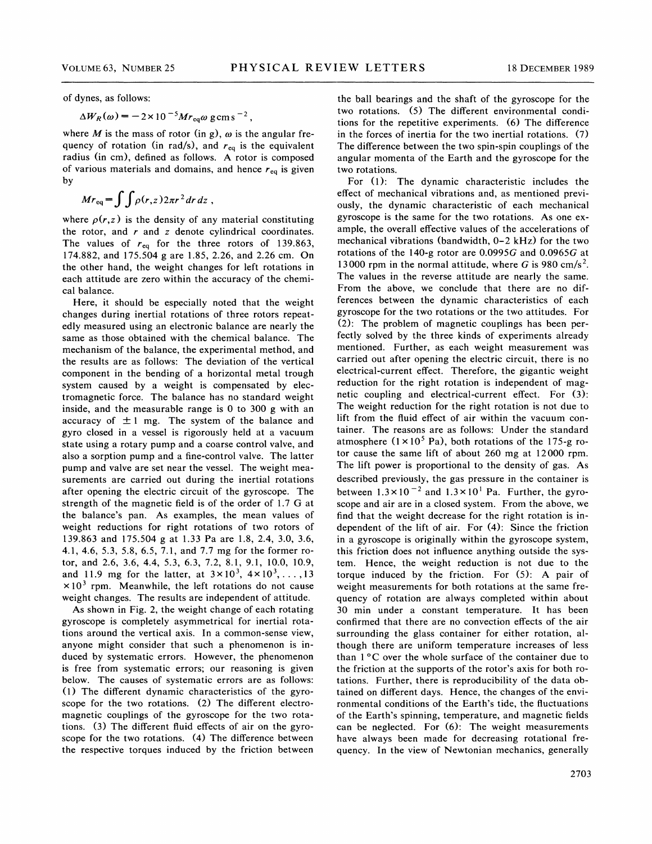of dynes, as follows:

$$
\Delta W_R(\omega) = -2 \times 10^{-5} M r_{\text{eq}} \omega \text{ g cm s}^{-2},
$$

where  $M$  is the mass of rotor (in g),  $\omega$  is the angular frequency of rotation (in rad/s), and  $r_{eq}$  is the equivalent radius (in cm), defined as follows. A rotor is composed of various materials and domains, and hence  $r_{eq}$  is given by

$$
Mr_{\text{eq}} = \int \int \rho(r,z) 2\pi r^2 dr dz ,
$$

where  $\rho(r, z)$  is the density of any material constituting the rotor, and *r* and z denote cylindrical coordinates. The values of  $r_{eq}$  for the three rotors of 139.863, 174.882, and 175.504 g are 1.85, 2.26, and 2.26 cm. On the other hand, the weight changes for left rotations in each attitude are zero within the accuracy of the chemical balance.

Here, it should be especially noted that the weight changes during inertial rotations of three rotors repeatedly measured using an electronic balance are nearly the same as those obtained with the chemical balance. The mechanism of the balance, the experimental method, and the results are as follows: The deviation of the vertical component in the bending of a horizontal metal trough system caused by a weight is compensated by electromagnetic force. The balance has no standard weight inside, and the measurable range is 0 to 300 g with an accuracy of  $\pm 1$  mg. The system of the balance and gyro closed in a vessel is rigorously held at a vacuum state using a rotary pump and a coarse control valve, and also a sorption pump and a fine-control valve. The latter pump and valve are set near the vessel. The weight measurements are carried out during the inertial rotations after opening the electric circuit of the gyroscope. The strength of the magnetic field is of the order of 1.7 G at the balance's pan. As examples, the mean values of weight reductions for right rotations of two rotors of 139.863 and 175.504 g at 1.33 Pa are 1.8, 2.4, 3.0, 3.6, 4.1, 4.6, 5.3, 5.8, 6.5, 7.1, and 7.7 mg for the former rotor, and 2.6, 3.6, 4.4, 5.3, 6.3, 7.2, 8.1, 9.1, 10.0, 10.9, and 11.9 mg for the latter, at  $3 \times 10^3$ ,  $4 \times 10^3$ , ...,13  $\times$ 10<sup>3</sup> rpm. Meanwhile, the left rotations do not cause weight changes. The results are independent of attitude.

As shown in Fig. 2, the weight change of each rotating gyroscope is completely asymmetrical for inertial rotations around the vertical axis. In a common-sense view, anyone might consider that such a phenomenon is induced by systematic errors. However, the phenomenon is free from systematic errors; our reasoning is given below. The causes of systematic errors are as follows: (1) The different dynamic characteristics of the gyroscope for the two rotations. (2) The different electromagnetic couplings of the gyroscope for the two rotations. (3) The different fluid effects of air on the gyroscope for the two rotations. (4) The difference between the respective torques induced by the friction between

the ball bearings and the shaft of the gyroscope for the two rotations. (5) The different environmental conditions for the repetitive experiments. (6) The difference in the forces of inertia for the two inertial rotations. (7) The difference between the two spin-spin couplings of the angular momenta of the Earth and the gyroscope for the two rotations.

For (1): The dynamic characteristic includes the effect of mechanical vibrations and, as mentioned previously, the dynamic characteristic of each mechanical gyroscope is the same for the two rotations. As one example, the overall effective values of the accelerations of mechanical vibrations (bandwidth, 0-2 kHz) for the two rotations of the 140-g rotor are 0.0995G and 0.0965G at 13000 rpm in the normal attitude, where G is 980 cm/s<sup>2</sup>. The values in the reverse attitude are nearly the same. From the above, we conclude that there are no differences between the dynamic characteristics of each gyroscope for the two rotations or the two attitudes. For (2): The problem of magnetic couplings has been perfectly solved by the three kinds of experiments already mentioned. Further, as each weight measurement was carried out after opening the electric circuit, there is no electrical-current effect. Therefore, the gigantic weight reduction for the right rotation is independent of magnetic coupling and electrical-current effect. For (3): The weight reduction for the right rotation is not due to lift from the fluid effect of air within the vacuum container. The reasons are as follows: Under the standard atmosphere  $(1 \times 10^5 \text{ Pa})$ , both rotations of the 175-g rotor cause the same lift of about 260 mg at 12000 rpm. The lift power is proportional to the density of gas. As described previously, the gas pressure in the container is between  $1.3 \times 10^{-2}$  and  $1.3 \times 10^{1}$  Pa. Further, the gyroscope and air are in a closed system. From the above, we find that the weight decrease for the right rotation is independent of the lift of air. For (4): Since the friction in a gyroscope is originally within the gyroscope system, this friction does not influence anything outside the system. Hence, the weight reduction is not due to the torque induced by the friction. For (5): A pair of weight measurements for both rotations at the same frequency of rotation are always completed within about 30 min under a constant temperature. It has been confirmed that there are no convection effects of the air surrounding the glass container for either rotation, although there are uniform temperature increases of less than 1 °C over the whole surface of the container due to the friction at the supports of the rotor's axis for both rotations. Further, there is reproducibility of the data obtained on different days. Hence, the changes of the environmental conditions of the Earth's tide, the fluctuations of the Earth's spinning, temperature, and magnetic fields can be neglected. For (6): The weight measurements have always been made for decreasing rotational frequency. In the view of Newtonian mechanics, generally